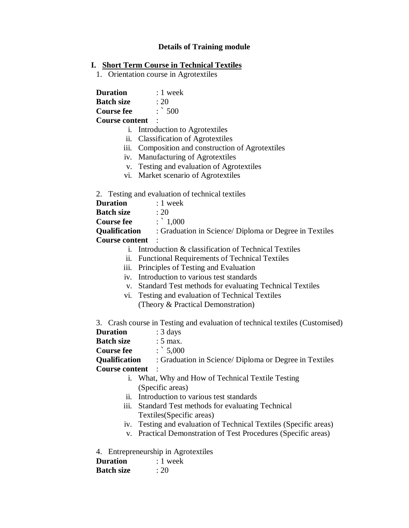# **Details of Training module**

## **I. Short Term Course in Technical Textiles**

1. Orientation course in Agrotextiles

**Duration** : 1 week **Batch size** : 20 **Course fee** : ` 500 **Course content** :

i. Introduction to Agrotextiles

- ii. Classification of Agrotextiles
- iii. Composition and construction of Agrotextiles
- iv. Manufacturing of Agrotextiles
- v. Testing and evaluation of Agrotextiles
- vi. Market scenario of Agrotextiles

### 2. Testing and evaluation of technical textiles

| Duration | $: 1$ week |
|----------|------------|

| Batch size |  | : 20 |
|------------|--|------|
|            |  |      |

**Course fee** :  $\therefore$  1,000

**Qualification** : Graduation in Science/ Diploma or Degree in Textiles **Course content** :

- i. Introduction & classification of Technical Textiles
- ii. Functional Requirements of Technical Textiles
- iii. Principles of Testing and Evaluation
- iv. Introduction to various test standards
- v. Standard Test methods for evaluating Technical Textiles
- vi. Testing and evaluation of Technical Textiles (Theory & Practical Demonstration)

3. Crash course in Testing and evaluation of technical textiles (Customised)

| <b>Duration</b>      | $: 3 \text{ days}$                                     |
|----------------------|--------------------------------------------------------|
| <b>Batch size</b>    | $: 5$ max.                                             |
| <b>Course fee</b>    | $\therefore$ 5,000                                     |
| <b>Qualification</b> | : Graduation in Science/ Diploma or Degree in Textiles |
| Course content :     |                                                        |
|                      | What, Why and How of Technical Textile Testing         |

- i. What, Why and How of Technical Textile Testing (Specific areas)
- ii. Introduction to various test standards
- iii. Standard Test methods for evaluating Technical Textiles(Specific areas)
- iv. Testing and evaluation of Technical Textiles (Specific areas)
- v. Practical Demonstration of Test Procedures (Specific areas)

4. Entrepreneurship in Agrotextiles

| <b>Duration</b>                | $: 1$ week |
|--------------------------------|------------|
| $\mathbf{D}_{\alpha}$ tah aira | . $\cap$   |

| Batch size | :20 |
|------------|-----|
|------------|-----|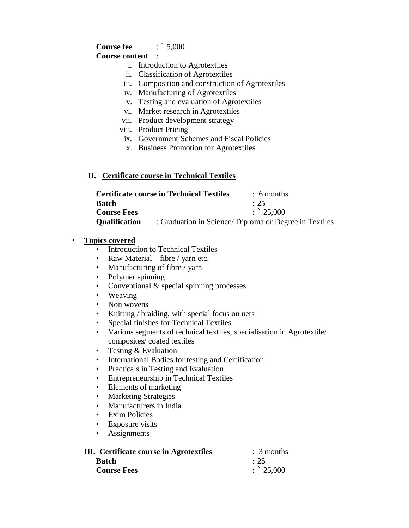# **Course fee** :  $\cdot$  5,000

### **Course content** :

- i. Introduction to Agrotextiles
- ii. Classification of Agrotextiles
- iii. Composition and construction of Agrotextiles
- iv. Manufacturing of Agrotextiles
- v. Testing and evaluation of Agrotextiles
- vi. Market research in Agrotextiles
- vii. Product development strategy
- viii. Product Pricing
	- ix. Government Schemes and Fiscal Policies
	- x. Business Promotion for Agrotextiles

### **II. Certificate course in Technical Textiles**

|                      | <b>Certificate course in Technical Textiles</b> | $\therefore$ 6 months                                  |
|----------------------|-------------------------------------------------|--------------------------------------------------------|
| Batch                |                                                 | : 25                                                   |
| <b>Course Fees</b>   |                                                 | $\therefore$ 25,000                                    |
| <b>Qualification</b> |                                                 | : Graduation in Science/ Diploma or Degree in Textiles |

### • **Topics covered**

- Introduction to Technical Textiles
- Raw Material fibre / yarn etc.
- Manufacturing of fibre / yarn
- Polymer spinning
- Conventional & special spinning processes
- Weaving
- Non wovens
- Knitting / braiding, with special focus on nets
- Special finishes for Technical Textiles
- Various segments of technical textiles, specialisation in Agrotextile/ composites/ coated textiles
- Testing & Evaluation
- International Bodies for testing and Certification
- Practicals in Testing and Evaluation
- Entrepreneurship in Technical Textiles
- Elements of marketing
- Marketing Strategies
- Manufacturers in India
- Exim Policies
- Exposure visits
- Assignments

| III. Certificate course in Agrotextiles | $\therefore$ 3 months |
|-----------------------------------------|-----------------------|
| <b>Batch</b>                            | : 25                  |
| <b>Course Fees</b>                      | $\therefore$ 25,000   |